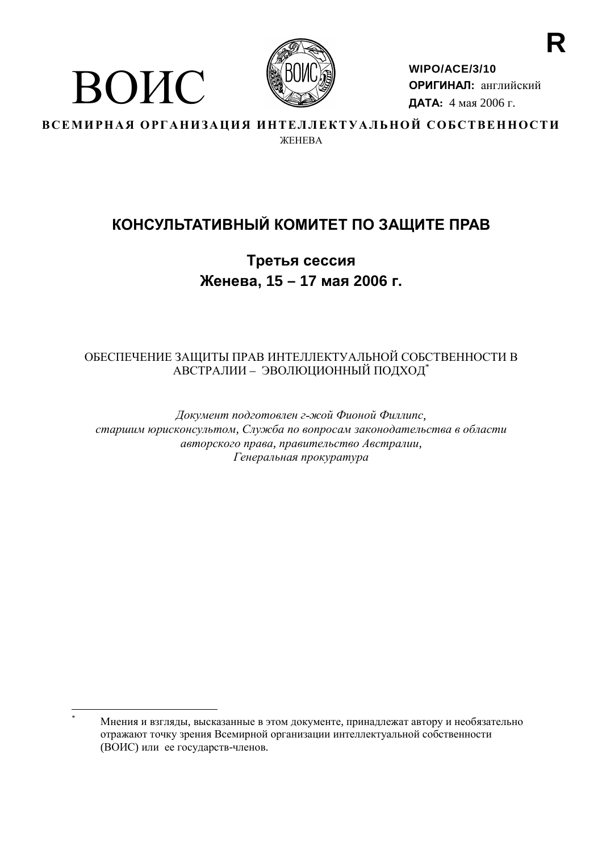

ВОИС

WIPO/ACE/3/10 ОРИГИНАЛ: английский ДАТА: 4 мая 2006 г.

ВСЕМИРНАЯ ОРГАНИЗАЦИЯ ИНТЕЛЛЕКТУАЛЬНОЙ СОБСТВЕННОСТИ **WEHERA** 

# КОНСУЛЬТАТИВНЫЙ КОМИТЕТ ПО ЗАЩИТЕ ПРАВ

Третья сессия Женева, 15 - 17 мая 2006 г.

# ОБЕСПЕЧЕНИЕ ЗАЩИТЫ ПРАВ ИНТЕЛЛЕКТУАЛЬНОЙ СОБСТВЕННОСТИ В АВСТРАЛИИ - ЭВОЛЮЦИОННЫЙ ПОДХОД\*

Документ подготовлен г-жой Фионой Филлипс, старшим юрисконсультом, Служба по вопросам законодательства в области авторского права, правительство Австралии, Генеральная прокуратура

Мнения и взгляды, высказанные в этом документе, принадлежат автору и необязательно отражают точку зрения Всемирной организации интеллектуальной собственности (ВОИС) или ее государств-членов.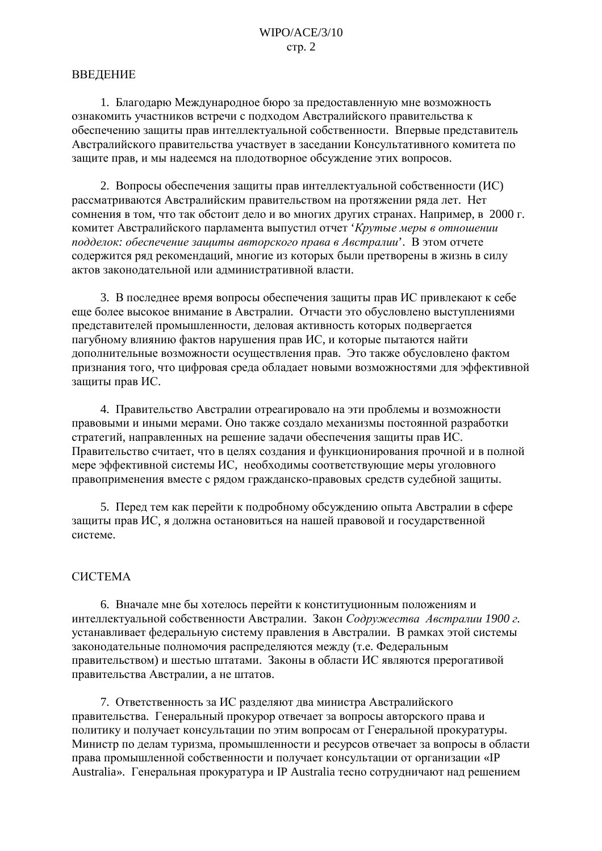#### **ВВЕЛЕНИЕ**

1. Благодарю Международное бюро за предоставленную мне возможность ознакомить участников встречи с подходом Австралийского правительства к обеспечению защиты прав интеллектуальной собственности. Впервые представитель Австралийского правительства участвует в заседании Консультативного комитета по защите прав, и мы надеемся на плодотворное обсуждение этих вопросов.

2. Вопросы обеспечения защиты прав интеллектуальной собственности (ИС) рассматриваются Австралийским правительством на протяжении ряда лет. Нет сомнения в том, что так обстоит дело и во многих других странах. Например, в 2000 г. комитет Австралийского парламента выпустил отчет 'Крутые меры в отношении подделок: обеспечение защиты авторского права в Австралии'. В этом отчете содержится ряд рекомендаций, многие из которых были претворены в жизнь в силу актов законодательной или административной власти.

3. В последнее время вопросы обеспечения защиты прав ИС привлекают к себе еще более высокое внимание в Австралии. Отчасти это обусловлено выступлениями представителей промышленности, деловая активность которых подвергается пагубному влиянию фактов нарушения прав ИС, и которые пытаются найти дополнительные возможности осуществления прав. Это также обусловлено фактом признания того, что цифровая среда обладает новыми возможностями для эффективной защиты прав ИС.

4. Правительство Австралии отреагировало на эти проблемы и возможности правовыми и иными мерами. Оно также создало механизмы постоянной разработки стратегий, направленных на решение задачи обеспечения защиты прав ИС. Правительство считает, что в целях создания и функционирования прочной и в полной мере эффективной системы ИС, необходимы соответствующие меры уголовного правоприменения вместе с рядом гражданско-правовых средств судебной защиты.

5. Перед тем как перейти к подробному обсуждению опыта Австралии в сфере защиты прав ИС, я должна остановиться на нашей правовой и государственной системе.

## **CHCTEMA**

6. Вначале мне бы хотелось перейти к конституционным положениям и интеллектуальной собственности Австралии. Закон Содружества Австралии 1900 г. устанавливает федеральную систему правления в Австралии. В рамках этой системы законодательные полномочия распределяются между (т.е. Федеральным правительством) и шестью штатами. Законы в области ИС являются прерогативой правительства Австралии, а не штатов.

7. Ответственность за ИС разделяют два министра Австралийского правительства. Генеральный прокурор отвечает за вопросы авторского права и политику и получает консультации по этим вопросам от Генеральной прокуратуры. Министр по делам туризма, промышленности и ресурсов отвечает за вопросы в области права промышленной собственности и получает консультации от организации «IP Australia». Генеральная прокуратура и IP Australia тесно сотрудничают над решением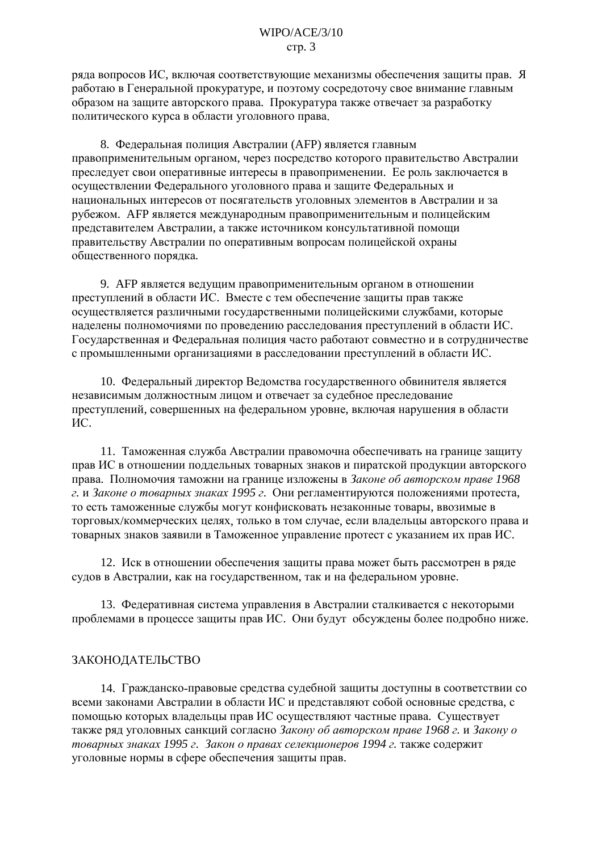ряда вопросов ИС, включая соответствующие механизмы обеспечения зашиты прав. Я работаю в Генеральной прокуратуре, и поэтому сосредоточу свое внимание главным образом на защите авторского права. Прокуратура также отвечает за разработку политического курса в области уголовного права.

8. Федеральная полиция Австралии (АFP) является главным правоприменительным органом, через посредство которого правительство Австралии преследует свои оперативные интересы в правоприменении. Ее роль заключается в осуществлении Федерального уголовного права и защите Федеральных и национальных интересов от посягательств уголовных элементов в Австралии и за рубежом. АFP является международным правоприменительным и полицейским представителем Австралии, а также источником консультативной помощи правительству Австралии по оперативным вопросам полицейской охраны общественного порядка.

9. АFP является ведущим правоприменительным органом в отношении преступлений в области ИС. Вместе с тем обеспечение защиты прав также осуществляется различными государственными полицейскими службами, которые наделены полномочиями по проведению расследования преступлений в области ИС. Государственная и Федеральная полиция часто работают совместно и в сотрудничестве с промышленными организациями в расследовании преступлений в области ИС.

10. Федеральный директор Ведомства государственного обвинителя является независимым должностным лицом и отвечает за судебное преследование преступлений, совершенных на федеральном уровне, включая нарушения в области HC.

11. Таможенная служба Австралии правомочна обеспечивать на границе защиту прав ИС в отношении поддельных товарных знаков и пиратской продукции авторского права. Полномочия таможни на границе изложены в Законе об авторском праве 1968 г. и Законе о товарных знаках 1995 г. Они регламентируются положениями протеста. то есть таможенные службы могут конфисковать незаконные товары, ввозимые в торговых/коммерческих целях, только в том случае, если владельцы авторского права и товарных знаков заявили в Таможенное управление протест с указанием их прав ИС.

12. Иск в отношении обеспечения защиты права может быть рассмотрен в ряде судов в Австралии, как на государственном, так и на федеральном уровне.

13. Федеративная система управления в Австралии сталкивается с некоторыми проблемами в процессе защиты прав ИС. Они будут обсуждены более подробно ниже.

#### ЗАКОНОДАТЕЛЬСТВО

14. Гражданско-правовые средства судебной защиты доступны в соответствии со всеми законами Австралии в области ИС и представляют собой основные средства, с помощью которых владельцы прав ИС осуществляют частные права. Существует также ряд уголовных санкций согласно Закону об авторском праве 1968 г. и Закону о товарных знаках 1995 г. Закон о правах селекционеров 1994 г. также содержит уголовные нормы в сфере обеспечения защиты прав.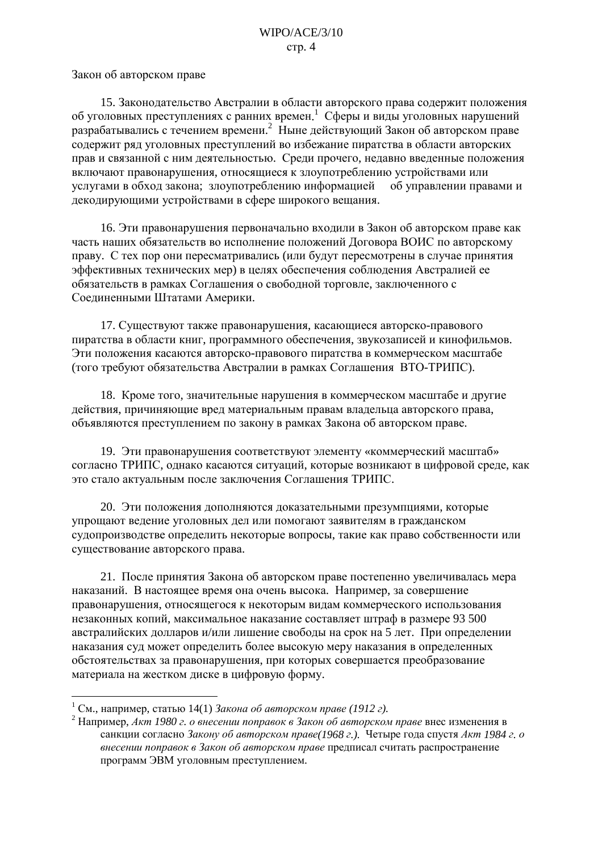Закон об авторском праве

15. Законодательство Австралии в области авторского права содержит положения об уголовных преступлениях с ранних времен. Сферы и виды уголовных нарушений разрабатывались с течением времени.<sup>2</sup> Ныне действующий Закон об авторском праве содержит ряд уголовных преступлений во избежание пиратства в области авторских прав и связанной с ним деятельностью. Среди прочего, недавно введенные положения включают правонарушения, относящиеся к злоупотреблению устройствами или услугами в обход закона; злоупотреблению информацией об управлении правами и декодирующими устройствами в сфере широкого вещания.

16. Эти правонарушения первоначально входили в Закон об авторском праве как часть наших обязательств во исполнение положений Договора ВОИС по авторскому праву. С тех пор они пересматривались (или будут пересмотрены в случае принятия эффективных технических мер) в целях обеспечения соблюдения Австралией ее обязательств в рамках Соглашения о свободной торговле, заключенного с Соединенными Штатами Америки.

17. Существуют также правонарушения, касающиеся авторско-правового пиратства в области книг, программного обеспечения, звукозаписей и кинофильмов. Эти положения касаются авторско-правового пиратства в коммерческом масштабе (того требуют обязательства Австралии в рамках Соглашения ВТО-ТРИПС).

18. Кроме того, значительные нарушения в коммерческом масштабе и другие действия, причиняющие вред материальным правам владельца авторского права, объявляются преступлением по закону в рамках Закона об авторском праве.

19. Эти правонарушения соответствуют элементу «коммерческий масштаб» согласно ТРИПС, однако касаются ситуаций, которые возникают в цифровой среде, как это стало актуальным после заключения Соглашения ТРИПС.

20. Эти положения дополняются доказательными презумпциями, которые упрощают ведение уголовных дел или помогают заявителям в гражданском судопроизводстве определить некоторые вопросы, такие как право собственности или существование авторского права.

21. После принятия Закона об авторском праве постепенно увеличивалась мера наказаний. В настоящее время она очень высока. Например, за совершение правонарушения, относящегося к некоторым видам коммерческого использования незаконных копий, максимальное наказание составляет штраф в размере 93 500 австралийских долларов и/или лишение свободы на срок на 5 лет. При определении наказания суд может определить более высокую меру наказания в определенных обстоятельствах за правонарушения, при которых совершается преобразование материала на жестком диске в цифровую форму.

<sup>&</sup>lt;sup>1</sup> См., например, статью 14(1) Закона об авторском праве (1912 г).

<sup>&</sup>lt;sup>2</sup> Например, Акт 1980 г. о внесении поправок в Закон об авторском праве внес изменения в санкции согласно Закону об авторском праве(1968 г.). Четыре года спустя Акт 1984 г. о внесении поправок в Закон об авторском праве предписал считать распространение программ ЭВМ уголовным преступлением.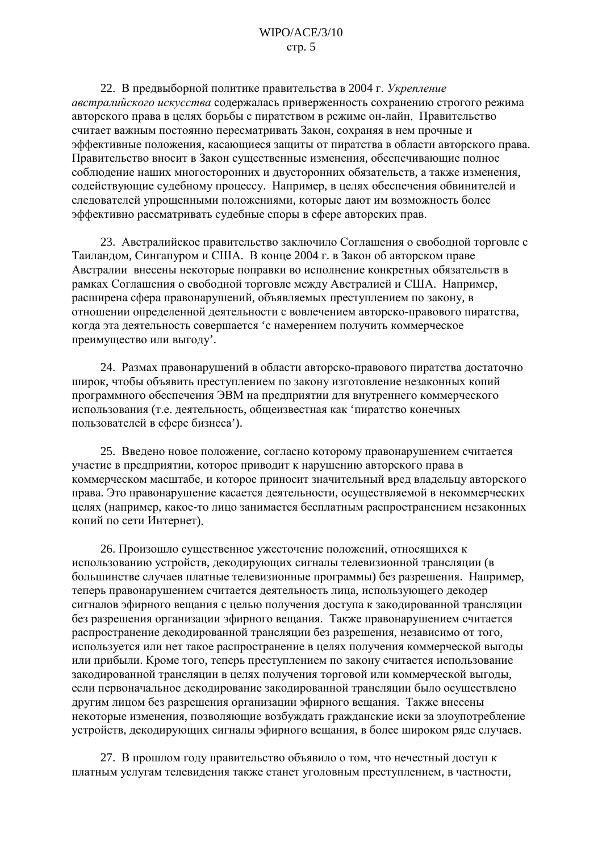22. В предвыборной политике правительства в 2004 г. Укрепление австралийского искусства содержалась приверженность сохранению строгого режима авторского права в целях борьбы с пиратством в режиме он-лайн. Правительство считает важным постоянно пересматривать Закон, сохраняя в нем прочные и эффективные положения, касающиеся защиты от пиратства в области авторского права. Правительство вносит в Закон существенные изменения, обеспечивающие полное соблюдение наших многосторонних и двусторонних обязательств, а также изменения, содействующие судебному процессу. Например, в целях обеспечения обвинителей и следователей упрощенными положениями, которые дают им возможность более эффективно рассматривать судебные споры в сфере авторских прав.

23. Австралийское правительство заключило Соглашения о свободной торговле с Таиландом, Сингапуром и США. В конце 2004 г. в Закон об авторском праве Австралии внесены некоторые поправки во исполнение конкретных обязательств в рамках Соглашения о свободной торговле между Австралией и США. Например, расширена сфера правонарушений, объявляемых преступлением по закону, в отношении определенной деятельности с вовлечением авторско-правового пиратства, когда эта деятельность совершается 'с намерением получить коммерческое преимущество или выгоду'.

24. Размах правонарушений в области авторско-правового пиратства достаточно широк, чтобы объявить преступлением по закону изготовление незаконных копий программного обеспечения ЭВМ на предприятии для внутреннего коммерческого использования (т.е. деятельность, общеизвестная как 'пиратство конечных пользователей в сфере бизнеса').

25. Введено новое положение, согласно которому правонарушением считается участие в предприятии, которое приводит к нарушению авторского права в коммерческом масштабе, и которое приносит значительный вред владельцу авторского права. Это правонарушение касается деятельности, осуществляемой в некоммерческих целях (например, какое-то лицо занимается бесплатным распространением незаконных копий по сети Интернет).

26. Произошло существенное ужесточение положений, относящихся к использованию устройств, декодирующих сигналы телевизионной трансляции (в большинстве случаев платные телевизионные программы) без разрешения. Например, теперь правонарушением считается деятельность лица, использующего декодер сигналов эфирного вещания с целью получения доступа к закодированной трансляции без разрешения организации эфирного вещания. Также правонарушением считается распространение декодированной трансляции без разрешения, независимо от того, используется или нет такое распространение в целях получения коммерческой выгоды или прибыли. Кроме того, теперь преступлением по закону считается использование закодированной трансляции в целях получения торговой или коммерческой выгоды, если первоначальное декодирование закодированной трансляции было осуществлено другим лицом без разрешения организации эфирного вещания. Также внесены некоторые изменения, позволяющие возбуждать гражданские иски за злоупотребление устройств, декодирующих сигналы эфирного вещания, в более широком ряде случаев.

27. В прошлом году правительство объявило о том, что нечестный доступ к платным услугам телевидения также станет уголовным преступлением, в частности,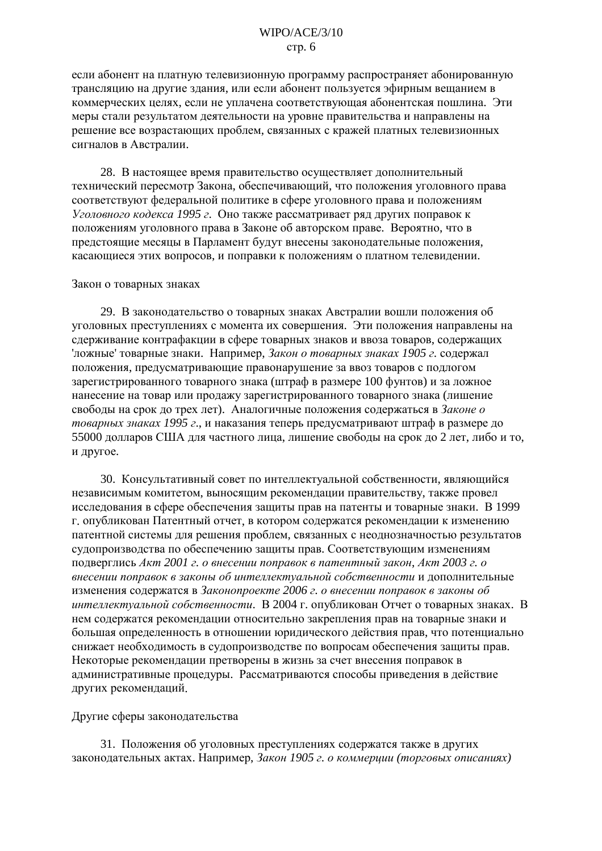если абонент на платную телевизионную программу распространяет абонированную трансляцию на другие здания, или если абонент пользуется эфирным вещанием в коммерческих целях, если не уплачена соответствующая абонентская пошлина. Эти меры стали результатом деятельности на уровне правительства и направлены на решение все возрастающих проблем, связанных с кражей платных телевизионных сигналов в Австралии.

28. В настоящее время правительство осуществляет дополнительный технический пересмотр Закона, обеспечивающий, что положения уголовного права соответствуют федеральной политике в сфере уголовного права и положениям Уголовного кодекса 1995 г. Оно также рассматривает ряд других поправок к положениям уголовного права в Законе об авторском праве. Вероятно, что в предстоящие месяцы в Парламент будут внесены законодательные положения, касающиеся этих вопросов, и поправки к положениям о платном телевидении.

#### Закон о товарных знаках

29. В законодательство о товарных знаках Австралии вошли положения об уголовных преступлениях с момента их совершения. Эти положения направлены на сдерживание контрафакции в сфере товарных знаков и ввоза товаров, содержащих ложные товарные знаки. Например, Закон о товарных знаках 1905 г. содержал положения, предусматривающие правонарушение за ввоз товаров с подлогом зарегистрированного товарного знака (штраф в размере 100 фунтов) и за ложное нанесение на товар или продажу зарегистрированного товарного знака (лишение свободы на срок до трех лет). Аналогичные положения содержаться в Законе о товарных знаках 1995 г., и наказания теперь предусматривают штраф в размере до 55000 долларов США для частного лица, лишение свободы на срок до 2 лет, либо и то, и другое.

30. Консультативный совет по интеллектуальной собственности, являющийся независимым комитетом, выносящим рекомендации правительству, также провел исследования в сфере обеспечения защиты прав на патенты и товарные знаки. В 1999 г. опубликован Патентный отчет, в котором содержатся рекомендации к изменению патентной системы для решения проблем, связанных с неоднозначностью результатов судопроизводства по обеспечению защиты прав. Соответствующим изменениям подверглись Акт 2001 г. о внесении поправок в патентный закон, Акт 2003 г. о внесении поправок в законы об интеллектуальной собственности и дополнительные изменения содержатся в Законопроекте 2006 г. о внесении поправок в законы об интеллектуальной собственности. В 2004 г. опубликован Отчет о товарных знаках. В нем содержатся рекомендации относительно закрепления прав на товарные знаки и большая определенность в отношении юридического действия прав, что потенциально снижает необходимость в судопроизводстве по вопросам обеспечения защиты прав. Некоторые рекомендации претворены в жизнь за счет внесения поправок в административные процедуры. Рассматриваются способы приведения в действие других рекомендаций.

#### Другие сферы законодательства

31. Положения об уголовных преступлениях содержатся также в других законодательных актах. Например, Закон 1905 г. о коммерции (торговых описаниях)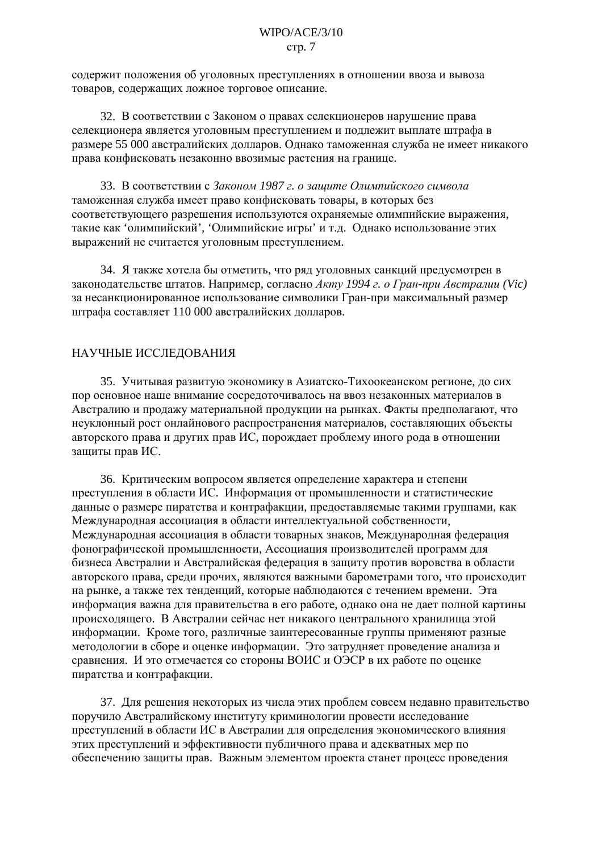содержит положения об уголовных преступлениях в отношении ввоза и вывоза товаров, содержащих ложное торговое описание.

32. В соответствии с Законом о правах селекционеров нарушение права селекционера является уголовным преступлением и подлежит выплате штрафа в размере 55 000 австралийских долларов. Однако таможенная служба не имеет никакого права конфисковать незаконно ввозимые растения на границе.

33. В соответствии с Законом 1987 г. о защите Олимпийского символа таможенная служба имеет право конфисковать товары, в которых без соответствующего разрешения используются охраняемые олимпийские выражения, такие как 'олимпийский', 'Олимпийские игры' и т.д. Однако использование этих выражений не считается уголовным преступлением.

34. Я также хотела бы отметить, что ряд уголовных санкций предусмотрен в законодательстве штатов. Например, согласно Акту 1994 г. о Гран-при Австралии (Vic) за несанкционированное использование символики Гран-при максимальный размер штрафа составляет 110 000 австралийских долларов.

## НАУЧНЫЕ ИССЛЕДОВАНИЯ

35. Учитывая развитую экономику в Азиатско-Тихоокеанском регионе, до сих пор основное наше внимание сосредоточивалось на ввоз незаконных материалов в Австралию и продажу материальной продукции на рынках. Факты предполагают, что неуклонный рост онлайнового распространения материалов, составляющих объекты авторского права и других прав ИС, порождает проблему иного рода в отношении защиты прав ИС.

36. Критическим вопросом является определение характера и степени преступления в области ИС. Информация от промышленности и статистические данные о размере пиратства и контрафакции, предоставляемые такими группами, как Международная ассоциация в области интеллектуальной собственности, Международная ассоциация в области товарных знаков, Международная федерация фонографической промышленности, Ассоциация производителей программ для бизнеса Австралии и Австралийская федерация в защиту против воровства в области авторского права, среди прочих, являются важными барометрами того, что происходит на рынке, а также тех тенденций, которые наблюдаются с течением времени. Эта информация важна для правительства в его работе, однако она не дает полной картины происходящего. В Австралии сейчас нет никакого центрального хранилища этой информации. Кроме того, различные заинтересованные группы применяют разные методологии в сборе и оценке информации. Это затрудняет проведение анализа и сравнения. И это отмечается со стороны ВОИС и ОЭСР в их работе по оценке пиратства и контрафакции.

37. Для решения некоторых из числа этих проблем совсем недавно правительство поручило Австралийскому институту криминологии провести исследование преступлений в области ИС в Австралии для определения экономического влияния этих преступлений и эффективности публичного права и адекватных мер по обеспечению зашиты прав. Важным элементом проекта станет процесс проведения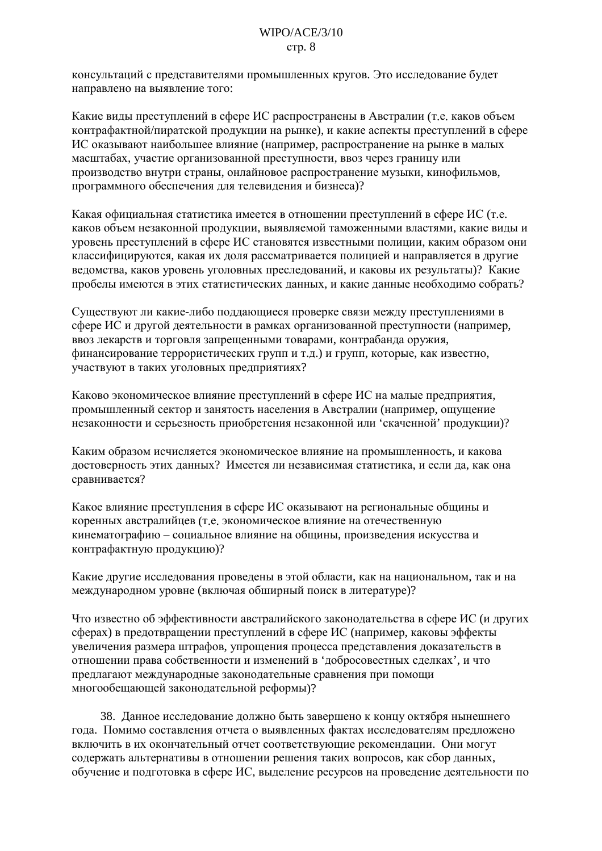консультаций с представителями промышленных кругов. Это исследование будет направлено на выявление того:

Какие виды преступлений в сфере ИС распространены в Австралии (т.е. каков объем контрафактной/пиратской продукции на рынке), и какие аспекты преступлений в сфере ИС оказывают наибольшее влияние (например, распространение на рынке в малых масштабах, участие организованной преступности, ввоз через границу или производство внутри страны, онлайновое распространение музыки, кинофильмов, программного обеспечения для телевидения и бизнеса)?

Какая официальная статистика имеется в отношении преступлений в сфере ИС (т.е. каков объем незаконной продукции, выявляемой таможенными властями, какие виды и уровень преступлений в сфере ИС становятся известными полиции, каким образом они классифицируются, какая их доля рассматривается полицией и направляется в другие ведомства, каков уровень уголовных преследований, и каковы их результаты)? Какие пробелы имеются в этих статистических данных, и какие данные необходимо собрать?

Существуют ли какие-либо поддающиеся проверке связи между преступлениями в сфере ИС и другой деятельности в рамках организованной преступности (например, ввоз лекарств и торговля запрещенными товарами, контрабанда оружия, финансирование террористических групп и т.д.) и групп, которые, как известно, участвуют в таких уголовных предприятиях?

Каково экономическое влияние преступлений в сфере ИС на малые предприятия, промышленный сектор и занятость населения в Австралии (например, ощущение незаконности и серьезность приобретения незаконной или 'скаченной' продукции)?

Каким образом исчисляется экономическое влияние на промышленность, и какова достоверность этих данных? Имеется ли независимая статистика, и если да, как она сравнивается?

Какое влияние преступления в сфере ИС оказывают на региональные общины и коренных австралийцев (т.е. экономическое влияние на отечественную кинематографию - социальное влияние на общины, произведения искусства и контрафактную продукцию)?

Какие другие исследования проведены в этой области, как на национальном, так и на международном уровне (включая обширный поиск в литературе)?

Что известно об эффективности австралийского законодательства в сфере ИС (и других сферах) в предотвращении преступлений в сфере ИС (например, каковы эффекты увеличения размера штрафов, упрощения процесса представления доказательств в отношении права собственности и изменений в 'добросовестных слелках', и что предлагают международные законодательные сравнения при помощи многообещающей законодательной реформы)?

38. Данное исследование должно быть завершено к концу октября нынешнего года. Помимо составления отчета о выявленных фактах исследователям предложено включить в их окончательный отчет соответствующие рекомендации. Они могут содержать альтернативы в отношении решения таких вопросов, как сбор данных, обучение и подготовка в сфере ИС, выделение ресурсов на проведение деятельности по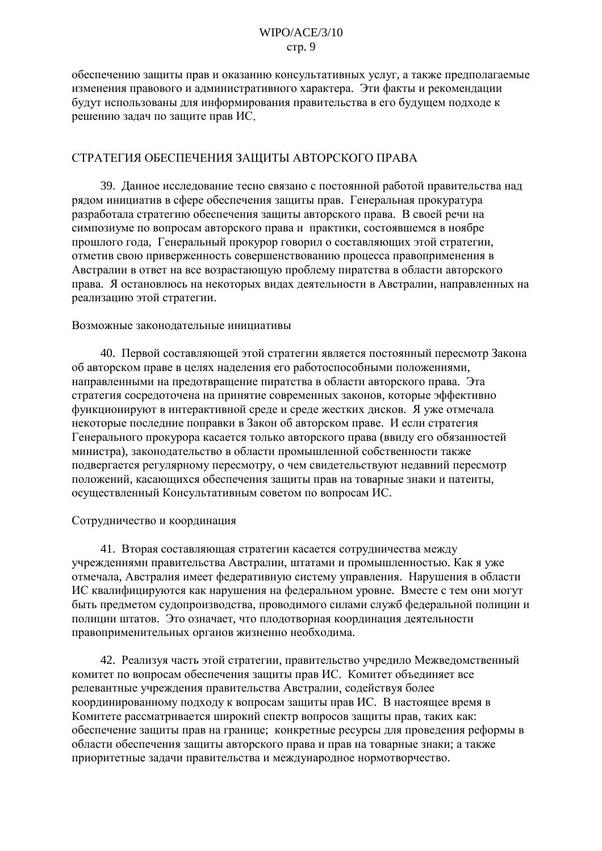обеспечению защиты прав и оказанию консультативных услуг, а также предполагаемые изменения правового и административного характера. Эти факты и рекомендации будут использованы для информирования правительства в его будущем подходе к решению задач по защите прав ИС.

## СТРАТЕГИЯ ОБЕСПЕЧЕНИЯ ЗАЩИТЫ АВТОРСКОГО ПРАВА

39. Данное исследование тесно связано с постоянной работой правительства над рядом инициатив в сфере обеспечения защиты прав. Генеральная прокуратура разработала стратегию обеспечения защиты авторского права. В своей речи на симпозиуме по вопросам авторского права и практики, состоявшемся в ноябре прошлого года, Генеральный прокурор говорил о составляющих этой стратегии, отметив свою приверженность совершенствованию процесса правоприменения в Австралии в ответ на все возрастающую проблему пиратства в области авторского права. Я остановлюсь на некоторых видах деятельности в Австралии, направленных на реализацию этой стратегии.

#### Возможные законодательные инициативы

40. Первой составляющей этой стратегии является постоянный пересмотр Закона об авторском праве в целях наделения его работоспособными положениями, направленными на предотвращение пиратства в области авторского права. Эта стратегия сосредоточена на принятие современных законов, которые эффективно функционируют в интерактивной среде и среде жестких дисков. Я уже отмечала некоторые последние поправки в Закон об авторском праве. И если стратегия Генерального прокурора касается только авторского права (ввиду его обязанностей министра), законодательство в области промышленной собственности также подвергается регулярному пересмотру, о чем свидетельствуют недавний пересмотр положений, касающихся обеспечения защиты прав на товарные знаки и патенты, осуществленный Консультативным советом по вопросам ИС.

#### Сотрудничество и координация

41. Вторая составляющая стратегии касается сотрудничества между учреждениями правительства Австралии, штатами и промышленностью. Как я уже отмечала, Австралия имеет федеративную систему управления. Нарушения в области ИС квалифицируются как нарушения на федеральном уровне. Вместе с тем они могут быть предметом судопроизводства, проводимого силами служб федеральной полиции и полиции штатов. Это означает, что плодотворная координация деятельности правоприменительных органов жизненно необходима.

42. Реализуя часть этой стратегии, правительство учредило Межведомственный комитет по вопросам обеспечения защиты прав ИС. Комитет объединяет все релевантные учреждения правительства Австралии, содействуя более координированному подходу к вопросам защиты прав ИС. В настоящее время в Комитете рассматривается широкий спектр вопросов защиты прав, таких как: обеспечение защиты прав на границе; конкретные ресурсы для проведения реформы в области обеспечения защиты авторского права и прав на товарные знаки; а также приоритетные задачи правительства и международное нормотворчество.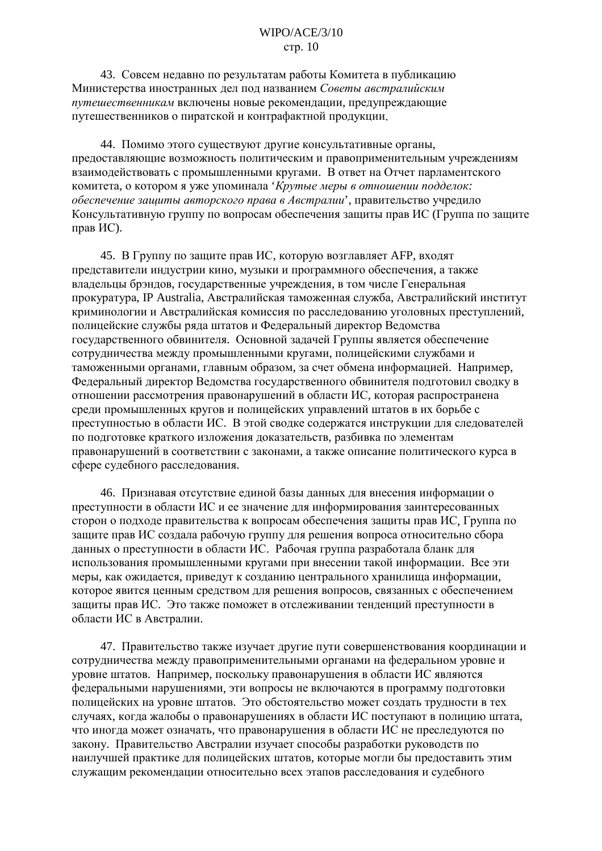43. Совсем недавно по результатам работы Комитета в публикацию Министерства иностранных дел под названием Советы австралийским путешественникам включены новые рекомендации, предупреждающие путешественников о пиратской и контрафактной продукции.

44. Помимо этого существуют другие консультативные органы, предоставляющие возможность политическим и правоприменительным учреждениям взаимодействовать с промышленными кругами. В ответ на Отчет парламентского комитета, о котором я уже упоминала 'Крутые меры в отношении подделок: обеспечение защиты авторского права в Австралии', правительство учредило Консультативную группу по вопросам обеспечения защиты прав ИС (Группа по защите прав ИС).

45. В Группу по защите прав ИС, которую возглавляет АFP, входят представители индустрии кино, музыки и программного обеспечения, а также владельцы брэндов, государственные учреждения, в том числе Генеральная прокуратура, IP Australia, Австралийская таможенная служба, Австралийский институт криминологии и Австралийская комиссия по расследованию уголовных преступлений, полицейские службы ряда штатов и Федеральный директор Ведомства государственного обвинителя. Основной задачей Группы является обеспечение сотрудничества между промышленными кругами, полицейскими службами и таможенными органами, главным образом, за счет обмена информацией. Например, Федеральный директор Ведомства государственного обвинителя подготовил сводку в отношении рассмотрения правонарушений в области ИС, которая распространена среди промышленных кругов и полицейских управлений штатов в их борьбе с преступностью в области ИС. В этой сводке содержатся инструкции для следователей по подготовке краткого изложения доказательств, разбивка по элементам правонарушений в соответствии с законами, а также описание политического курса в сфере судебного расследования.

46. Признавая отсутствие единой базы данных для внесения информации о преступности в области ИС и ее значение для информирования заинтересованных сторон о подходе правительства к вопросам обеспечения защиты прав ИС, Группа по защите прав ИС создала рабочую группу для решения вопроса относительно сбора данных о преступности в области ИС. Рабочая группа разработала бланк для использования промышленными кругами при внесении такой информации. Все эти меры, как ожидается, приведут к созданию центрального хранилища информации, которое явится ценным средством для решения вопросов, связанных с обеспечением защиты прав ИС. Это также поможет в отслеживании тенденций преступности в области ИС в Австралии.

47. Правительство также изучает другие пути совершенствования координации и сотрудничества между правоприменительными органами на федеральном уровне и уровне штатов. Например, поскольку правонарушения в области ИС являются федеральными нарушениями, эти вопросы не включаются в программу подготовки полицейских на уровне штатов. Это обстоятельство может создать трудности в тех случаях, когда жалобы о правонарушениях в области ИС поступают в полицию штата, что иногда может означать, что правонарушения в области ИС не преследуются по закону. Правительство Австралии изучает способы разработки руководств по наилучшей практике лля полицейских штатов, которые могли бы предоставить этим служащим рекомендации относительно всех этапов расследования и судебного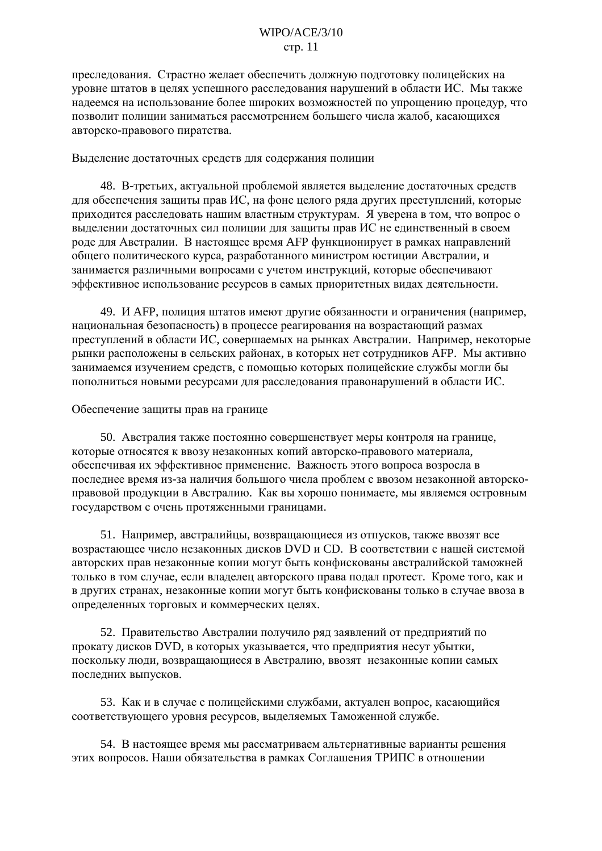преследования. Страстно желает обеспечить должную подготовку полицейских на уровне штатов в целях успешного расследования нарушений в области ИС. Мы также надеемся на использование более широких возможностей по упрощению процедур, что позволит полиции заниматься рассмотрением большего числа жалоб, касающихся авторско-правового пиратства.

#### Выделение достаточных средств для содержания полиции

48. В-третьих, актуальной проблемой является выделение достаточных средств для обеспечения защиты прав ИС, на фоне целого ряда других преступлений, которые приходится расследовать нашим властным структурам. Я уверена в том, что вопрос о выделении достаточных сил полиции для защиты прав ИС не единственный в своем роде для Австралии. В настоящее время AFP функционирует в рамках направлений общего политического курса, разработанного министром юстиции Австралии, и занимается различными вопросами с учетом инструкций, которые обеспечивают эффективное использование ресурсов в самых приоритетных видах деятельности.

49. И АГР, полиция штатов имеют другие обязанности и ограничения (например, национальная безопасность) в процессе реагирования на возрастающий размах преступлений в области ИС, совершаемых на рынках Австралии. Например, некоторые рынки расположены в сельских районах, в которых нет сотрудников АFP. Мы активно занимаемся изучением средств, с помощью которых полицейские службы могли бы пополниться новыми ресурсами для расследования правонарушений в области ИС.

#### Обеспечение защиты прав на границе

50. Австралия также постоянно совершенствует меры контроля на границе, которые относятся к ввозу незаконных копий авторско-правового материала, обеспечивая их эффективное применение. Важность этого вопроса возросла в последнее время из-за наличия большого числа проблем с ввозом незаконной авторскоправовой продукции в Австралию. Как вы хорошо понимаете, мы являемся островным государством с очень протяженными границами.

51. Например, австралийцы, возвращающиеся из отпусков, также ввозят все возрастающее число незаконных дисков DVD и CD. В соответствии с нашей системой авторских прав незаконные копии могут быть конфискованы австралийской таможней только в том случае, если владелец авторского права подал протест. Кроме того, как и в других странах, незаконные копии могут быть конфискованы только в случае ввоза в определенных торговых и коммерческих целях.

52. Правительство Австралии получило ряд заявлений от предприятий по прокату дисков DVD, в которых указывается, что предприятия несут убытки, поскольку люди, возвращающиеся в Австралию, ввозят незаконные копии самых последних выпусков.

53. Как и в случае с полицейскими службами, актуален вопрос, касающийся соответствующего уровня ресурсов, выделяемых Таможенной службе.

54. В настоящее время мы рассматриваем альтернативные варианты решения этих вопросов. Наши обязательства в рамках Соглашения ТРИПС в отношении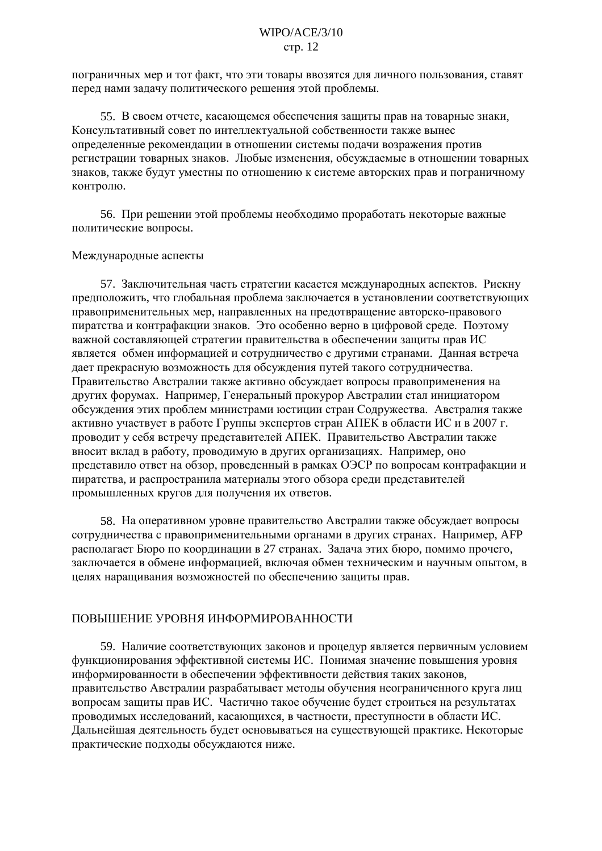пограничных мер и тот факт, что эти товары ввозятся для личного пользования, ставят перед нами задачу политического решения этой проблемы.

55. В своем отчете, касающемся обеспечения защиты прав на товарные знаки, Консультативный совет по интеллектуальной собственности также вынес определенные рекомендации в отношении системы подачи возражения против регистрации товарных знаков. Любые изменения, обсуждаемые в отношении товарных знаков, также будут уместны по отношению к системе авторских прав и пограничному контролю.

56. При решении этой проблемы необходимо проработать некоторые важные политические вопросы.

#### Международные аспекты

57. Заключительная часть стратегии касается международных аспектов. Рискну предположить, что глобальная проблема заключается в установлении соответствующих правоприменительных мер, направленных на предотвращение авторско-правового пиратства и контрафакции знаков. Это особенно верно в цифровой среде. Поэтому важной составляющей стратегии правительства в обеспечении защиты прав ИС является обмен информацией и сотрудничество с другими странами. Данная встреча дает прекрасную возможность для обсуждения путей такого сотрудничества. Правительство Австралии также активно обсуждает вопросы правоприменения на других форумах. Например, Генеральный прокурор Австралии стал инициатором обсуждения этих проблем министрами юстиции стран Содружества. Австралия также активно участвует в работе Группы экспертов стран АПЕК в области ИС и в 2007 г. проводит у себя встречу представителей АПЕК. Правительство Австралии также вносит вклад в работу, проводимую в других организациях. Например, оно представило ответ на обзор, проведенный в рамках ОЭСР по вопросам контрафакции и пиратства, и распространила материалы этого обзора среди представителей промышленных кругов для получения их ответов.

58. На оперативном уровне правительство Австралии также обсуждает вопросы сотрудничества с правоприменительными органами в других странах. Например, АFP располагает Бюро по координации в 27 странах. Задача этих бюро, помимо прочего, заключается в обмене информацией, включая обмен техническим и научным опытом, в целях наращивания возможностей по обеспечению защиты прав.

#### ПОВЫШЕНИЕ УРОВНЯ ИНФОРМИРОВАННОСТИ

59. Наличие соответствующих законов и процедур является первичным условием функционирования эффективной системы ИС. Понимая значение повышения уровня информированности в обеспечении эффективности действия таких законов. правительство Австралии разрабатывает методы обучения неограниченного круга лиц вопросам защиты прав ИС. Частично такое обучение будет строиться на результатах проводимых исследований, касающихся, в частности, преступности в области ИС. Дальнейшая деятельность будет основываться на существующей практике. Некоторые практические подходы обсуждаются ниже.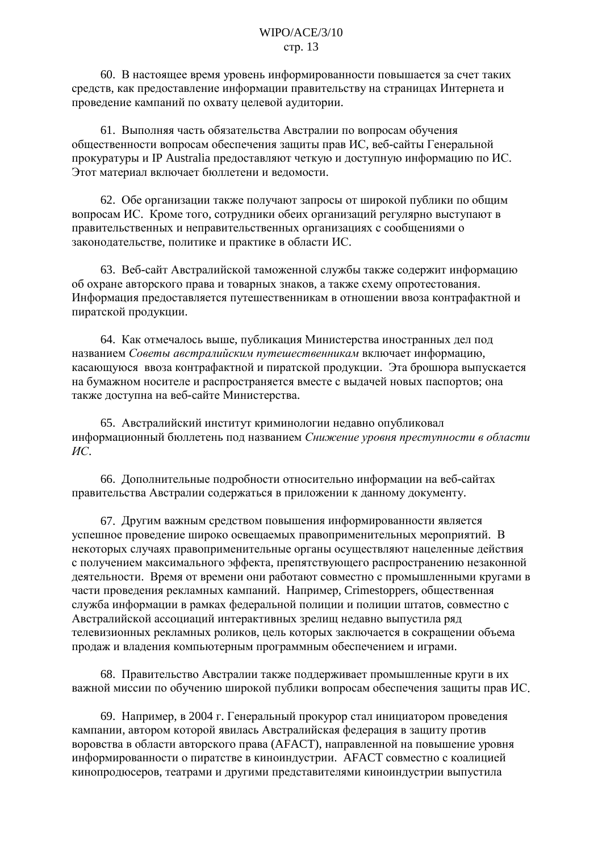60. В настоящее время уровень информированности повышается за счет таких средств, как предоставление информации правительству на страницах Интернета и проведение кампаний по охвату целевой аудитории.

61. Выполняя часть обязательства Австралии по вопросам обучения общественности вопросам обеспечения защиты прав ИС, веб-сайты Генеральной прокуратуры и IP Australia предоставляют четкую и доступную информацию по ИС. Этот материал включает бюллетени и веломости.

62. Обе организации также получают запросы от широкой публики по общим вопросам ИС. Кроме того, сотрудники обеих организаций регулярно выступают в правительственных и неправительственных организациях с сообщениями о законодательстве, политике и практике в области ИС.

63. Веб-сайт Австралийской таможенной службы также содержит информацию об охране авторского права и товарных знаков, а также схему опротестования. Информация предоставляется путешественникам в отношении ввоза контрафактной и пиратской продукции.

64. Как отмечалось выше, публикация Министерства иностранных дел под названием Советы австралийским путешественникам включает информацию, касающуюся ввоза контрафактной и пиратской продукции. Эта брошюра выпускается на бумажном носителе и распространяется вместе с выдачей новых паспортов; она также доступна на веб-сайте Министерства.

65. Австралийский институт криминологии недавно опубликовал информационный бюллетень под названием Снижение уровня преступности в области  $MC$ 

66. Дополнительные подробности относительно информации на веб-сайтах правительства Австралии содержаться в приложении к данному документу.

67. Другим важным средством повышения информированности является успешное проведение широко освещаемых правоприменительных мероприятий. В некоторых случаях правоприменительные органы осуществляют нацеленные действия с получением максимального эффекта, препятствующего распространению незаконной деятельности. Время от времени они работают совместно с промышленными кругами в части проведения рекламных кампаний. Например, Crimestoppers, общественная служба информации в рамках федеральной полиции и полиции штатов, совместно с Австралийской ассоциаций интерактивных зрелищ недавно выпустила ряд телевизионных рекламных роликов, цель которых заключается в сокращении объема продаж и владения компьютерным программным обеспечением и играми.

68. Правительство Австралии также поддерживает промышленные круги в их важной миссии по обучению широкой публики вопросам обеспечения защиты прав ИС.

69. Например, в 2004 г. Генеральный прокурор стал инициатором проведения кампании, автором которой явилась Австралийская федерация в защиту против воровства в области авторского права (АFACT), направленной на повышение уровня информированности о пиратстве в киноиндустрии. АFACT совместно с коалицией кинопродюсеров, театрами и другими представителями киноиндустрии выпустила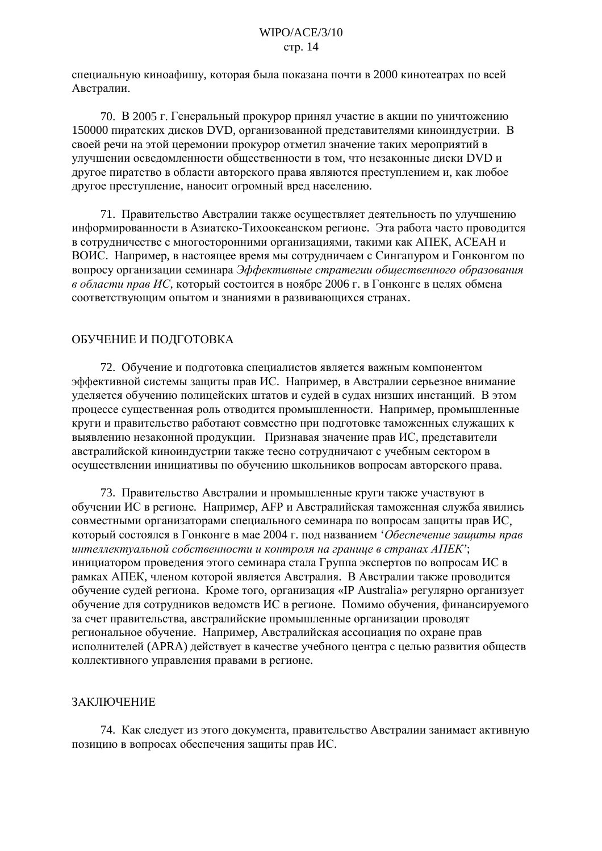специальную киноафишу, которая была показана почти в 2000 кинотеатрах по всей Австралии.

70. В 2005 г. Генеральный прокурор принял участие в акции по уничтожению 150000 пиратских дисков DVD, организованной представителями киноиндустрии. В своей речи на этой церемонии прокурор отметил значение таких мероприятий в улучшении осведомленности общественности в том, что незаконные диски DVD и лругое пиратство в области авторского права являются преступлением и, как любое другое преступление, наносит огромный вред населению.

71. Правительство Австралии также осуществляет деятельность по улучшению информированности в Азиатско-Тихоокеанском регионе. Эта работа часто проводится в сотрудничестве с многосторонними организациями, такими как АПЕК, АСЕАН и ВОИС. Например, в настоящее время мы сотрудничаем с Сингапуром и Гонконгом по вопросу организации семинара Эффективные стратегии общественного образования в области прав ИС, который состоится в ноябре 2006 г. в Гонконге в целях обмена соответствующим опытом и знаниями в развивающихся странах.

## ОБУЧЕНИЕ И ПОДГОТОВКА

72. Обучение и подготовка специалистов является важным компонентом эффективной системы защиты прав ИС. Например, в Австралии серьезное внимание уделяется обучению полицейских штатов и судей в судах низших инстанций. В этом процессе существенная роль отводится промышленности. Например, промышленные круги и правительство работают совместно при подготовке таможенных служащих к выявлению незаконной продукции. Признавая значение прав ИС, представители австралийской киноиндустрии также тесно сотрудничают с учебным сектором в осуществлении инициативы по обучению школьников вопросам авторского права.

73. Правительство Австралии и промышленные круги также участвуют в обучении ИС в регионе. Например, АFP и Австралийская таможенная служба явились совместными организаторами специального семинара по вопросам защиты прав ИС, который состоялся в Гонконге в мае 2004 г. под названием Обеспечение защиты прав интеллектуальной собственности и контроля на границе в странах АПЕК"; инициатором проведения этого семинара стала Группа экспертов по вопросам ИС в рамках АПЕК, членом которой является Австралия. В Австралии также проводится обучение судей региона. Кроме того, организация «IP Australia» регулярно организует обучение для сотрудников ведомств ИС в регионе. Помимо обучения, финансируемого за счет правительства, австралийские промышленные организации проводят региональное обучение. Например, Австралийская ассоциация по охране прав исполнителей (APRA) действует в качестве учебного центра с целью развития обществ коллективного управления правами в регионе.

## ЗАКЛЮЧЕНИЕ

74. Как следует из этого документа, правительство Австралии занимает активную позицию в вопросах обеспечения защиты прав ИС.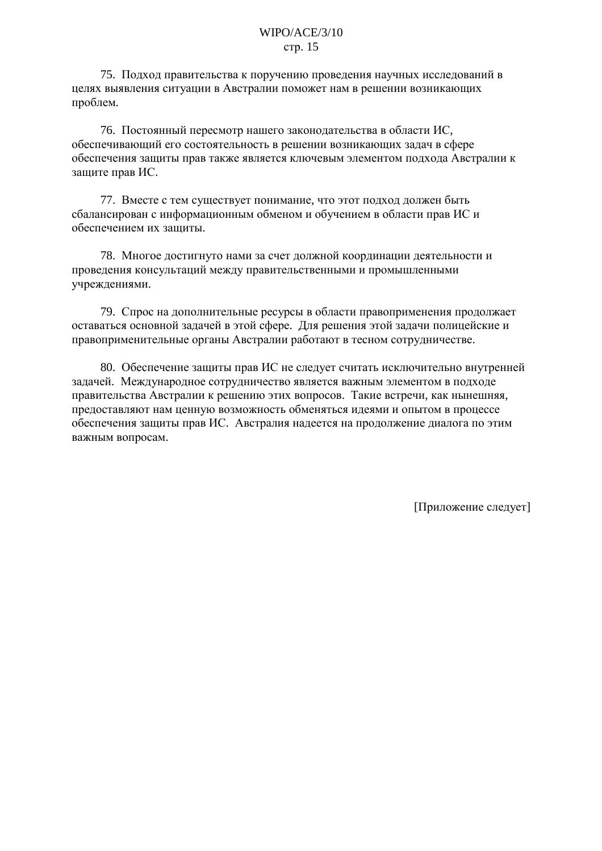75. Подход правительства к поручению проведения научных исследований в целях выявления ситуации в Австралии поможет нам в решении возникающих проблем.

76. Постоянный пересмотр нашего законодательства в области ИС. обеспечивающий его состоятельность в решении возникающих задач в сфере обеспечения защиты прав также является ключевым элементом подхода Австралии к зашите прав ИС.

77. Вместе с тем существует понимание, что этот подход должен быть сбалансирован с информационным обменом и обучением в области прав ИС и обеспечением их зашиты.

78. Многое достигнуто нами за счет должной координации деятельности и проведения консультаций между правительственными и промышленными учреждениями.

79. Спрос на дополнительные ресурсы в области правоприменения продолжает оставаться основной задачей в этой сфере. Для решения этой задачи полицейские и правоприменительные органы Австралии работают в тесном сотрудничестве.

80. Обеспечение защиты прав ИС не следует считать исключительно внутренней задачей. Международное сотрудничество является важным элементом в подходе правительства Австралии к решению этих вопросов. Такие встречи, как нынешняя, предоставляют нам ценную возможность обменяться идеями и опытом в процессе обеспечения защиты прав ИС. Австралия надеется на продолжение диалога по этим важным вопросам.

[Приложение следует]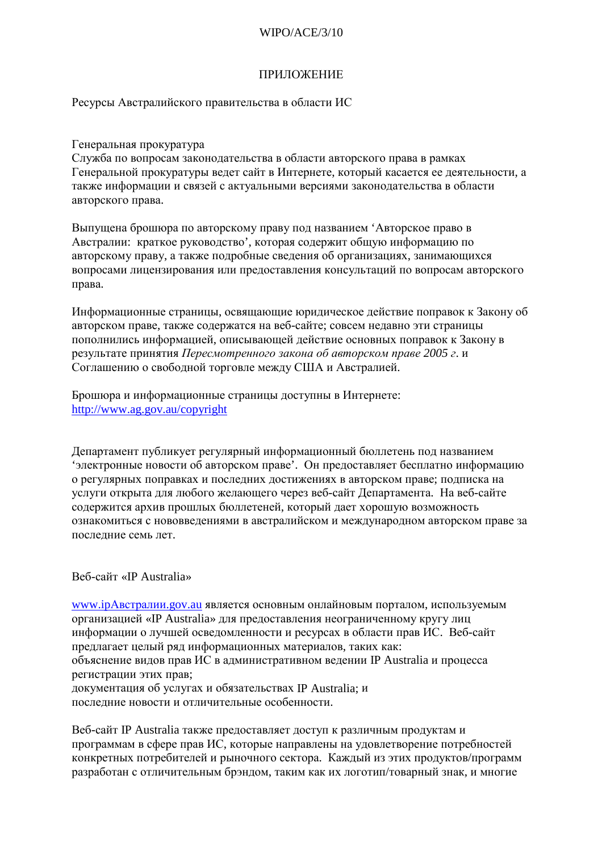## $WIPO/ACF/3/10$

## **ПРИЛОЖЕНИЕ**

Ресурсы Австралийского правительства в области ИС

#### Генеральная прокуратура

Служба по вопросам законодательства в области авторского права в рамках Генеральной прокуратуры ведет сайт в Интернете, который касается ее деятельности, а также информации и связей с актуальными версиями законодательства в области авторского права.

Выпущена брошюра по авторскому праву под названием 'Авторское право в Австралии: краткое руководство', которая содержит общую информацию по авторскому праву, а также подробные сведения об организациях, занимающихся вопросами лицензирования или предоставления консультаций по вопросам авторского права.

Информационные страницы, освящающие юридическое действие поправок к Закону об авторском праве, также содержатся на веб-сайте; совсем недавно эти страницы пополнились информацией, описывающей действие основных поправок к Закону в результате принятия Пересмотренного закона об авторском праве 2005 г. и Соглашению о свободной торговле между США и Австралией.

Брошюра и информационные страницы доступны в Интернете: http://www.ag.gov.au/copyright

Департамент публикует регулярный информационный бюллетень под названием 'электронные новости об авторском праве'. Он предоставляет бесплатно информацию о регулярных поправках и последних достижениях в авторском праве; подписка на услуги открыта для любого желающего через веб-сайт Лепартамента. На веб-сайте содержится архив прошлых бюллетеней, который дает хорошую возможность ознакомиться с нововведениями в австралийском и международном авторском праве за последние семь лет.

#### Веб-сайт «IP Australia»

www.ipАвстралии.gov.au является основным онлайновым порталом, используемым организацией «IP Australia» для предоставления неограниченному кругу лиц информации о лучшей осведомленности и ресурсах в области прав ИС. Веб-сайт предлагает целый ряд информационных материалов, таких как: объяснение видов прав ИС в административном ведении IP Australia и процесса регистрации этих прав; документация об услугах и обязательствах IP Australia; и

последние новости и отличительные особенности.

Веб-сайт IP Australia также предоставляет доступ к различным продуктам и программам в сфере прав ИС, которые направлены на удовлетворение потребностей конкретных потребителей и рыночного сектора. Каждый из этих продуктов/программ разработан с отличительным брэндом, таким как их логотип/товарный знак, и многие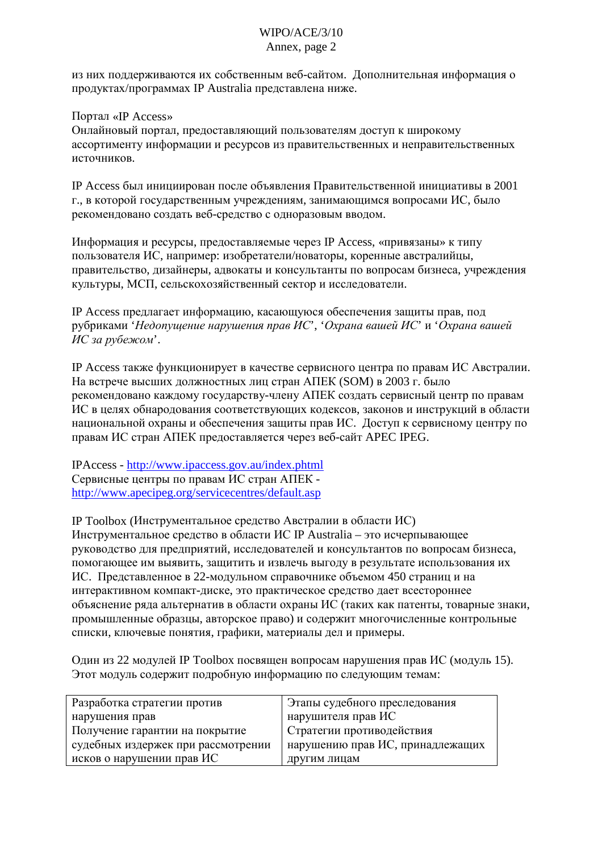## WIPO/ACE/3/10 Annex, page 2

из них поддерживаются их собственным веб-сайтом. Дополнительная информация о продуктах/программах IP Australia представлена ниже.

Портал «IP Access»

Онлайновый портал, предоставляющий пользователям доступ к широкому ассортименту информации и ресурсов из правительственных и неправительственных источников.

IP Access был инициирован после объявления Правительственной инициативы в 2001 г., в которой государственным учреждениям, занимающимся вопросами ИС, было рекомендовано создать веб-средство с одноразовым вводом.

Информация и ресурсы, предоставляемые через IP Access, «привязаны» к типу пользователя ИС, например: изобретатели/новаторы, коренные австралийцы, правительство, дизайнеры, адвокаты и консультанты по вопросам бизнеса, учреждения культуры, МСП, сельскохозяйственный сектор и исследователи.

IP Access предлагает информацию, касающуюся обеспечения защиты прав, под рубриками '*Недопущение нарушения прав ИС*', '*Охрана вашей ИС*' и '*Охрана вашей ИС за рубежом*'.

IP Access также функционирует в качестве сервисного центра по правам ИС Австралии. На встрече высших должностных лиц стран АПЕК (SOM) в 2003 г. было рекомендовано каждому государству-члену АПЕК создать сервисный центр по правам ИС в целях обнародования соответствующих кодексов, законов и инструкций в области национальной охраны и обеспечения защиты прав ИС. Доступ к сервисному центру по правам ИС стран АПЕК предоставляется через веб-сайт АРЕС IPEG.

IPAccess - <http://www.ipaccess.gov.au/index.phtml> Сервисные центры по правам ИС стран АПЕК <http://www.apecipeg.org/servicecentres/default.asp>

IP Toolbox (Инструментальное средство Австралии в области ИС) Инструментальное средство в области ИС IP Australia - это исчерпывающее руководство для предприятий, исследователей и консультантов по вопросам бизнеса, помогающее им выявить, защитить и извлечь выгоду в результате использования их ИС. Представленное в 22-модульном справочнике объемом 450 страниц и на интерактивном компакт-диске, это практическое средство дает всестороннее объяснение ряда альтернатив в области охраны ИС (таких как патенты, товарные знаки, промышленные образцы, авторское право) и содержит многочисленные контрольные списки, ключевые понятия, графики, материалы дел и примеры.

Один из 22 модулей IP Toolbox посвящен вопросам нарушения прав ИС (модуль 15). Этот модуль содержит подробную информацию по следующим темам:

| Разработка стратегии против        | Этапы судебного преследования    |
|------------------------------------|----------------------------------|
| нарушения прав                     | нарушителя прав ИС               |
| Получение гарантии на покрытие     | Стратегии противодействия        |
| судебных издержек при рассмотрении | нарушению прав ИС, принадлежащих |
| исков о нарушении прав ИС          | другим лицам                     |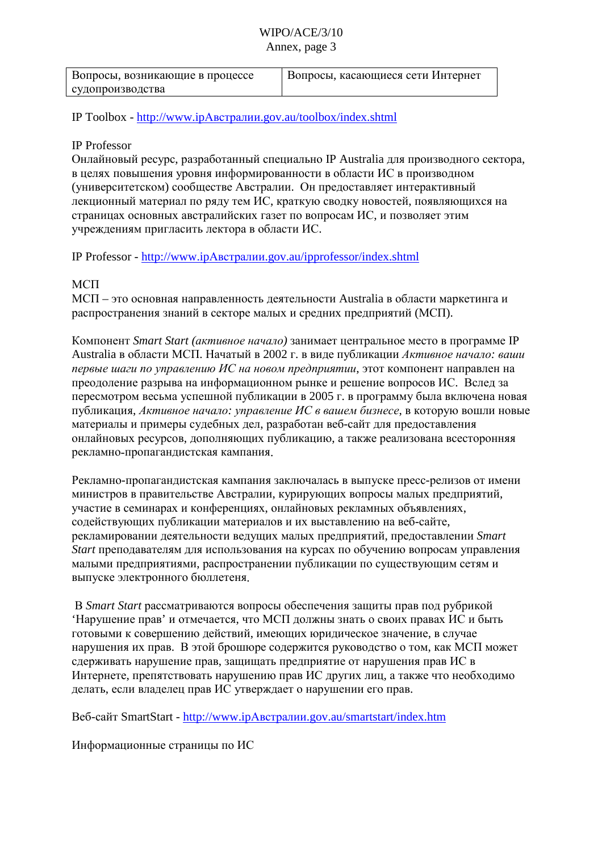## WIPO/ACE/3/10 Annex, page 3

| Вопросы, возникающие в процессе | Вопросы, касающиеся сети Интернет |
|---------------------------------|-----------------------------------|
| судопроизводства                |                                   |

IP Toolbox - http://www.ipАвстралии[.gov.au/toolbox/index.shtml](http://www.ipaustralia.gov.au/toolbox/index.shtml)

## IP Professor

Онлайновый ресурс, разработанный специально IP Australia для производного сектора, в целях повышения уровня информированности в области ИС в производном (университетском) сообществе Австралии. Он предоставляет интерактивный лекционный материал по ряду тем ИС, краткую сводку новостей, появляющихся на страницах основных австралийских газет по вопросам ИС, и позволяет этим учреждениям пригласить лектора в области ИС.

IP Professor - http://www.jpАвстралии[.gov.au/ipprofessor/index.shtml](http://www.ipaustralia.gov.au/ipprofessor/index.shtml)

## $MC<sub>II</sub>$

 $MCI -$  это основная направленность деятельности Australia в области маркетинга и распространения знаний в секторе малых и средних предприятий (МСП).

Компонент Smart Start (активное начало) занимает центральное место в программе IP Australia в области МСП. Начатый в 2002 г. в виде публикации Активное начало: ваши *nервые шаги по управлению ИС на новом предприятии,* этот компонент направлен на преодоление разрыва на информационном рынке и решение вопросов ИС. Вслед за пересмотром весьма успешной публикации в 2005 г. в программу была включена новая публикация, *Активное начало: управление ИС в вашем бизнесе*, в которую вошли новые материалы и примеры судебных дел, разработан веб-сайт для предоставления онлайновых ресурсов, дополняющих публикацию, а также реализована всесторонняя рекламно-пропагандистская кампания.

Рекламно-пропагандистская кампания заключалась в выпуске пресс-релизов от имени министров в правительстве Австралии, курирующих вопросы малых предприятий, участие в семинарах и конференциях, онлайновых рекламных объявлениях, содействующих публикации материалов и их выставлению на веб-сайте, рекламировании деятельности ведущих малых предприятий, предоставлении Smart *Start* преподавателям для использования на курсах по обучению вопросам управления малыми предприятиями, распространении публикации по существующим сетям и выпуске электронного бюллетеня.

B Smart Start рассматриваются вопросы обеспечения защиты прав под рубрикой  $'$ Нарушение прав' и отмечается, что МСП должны знать о своих правах ИС и быть готовыми к совершению действий, имеющих юридическое значение, в случае нарушения их прав. В этой брошюре содержится руководство о том, как МСП может сдерживать нарушение прав, защищать предприятие от нарушения прав ИС в Интернете, препятствовать нарушению прав ИС других лиц, а также что необходимо делать, если владелец прав ИС утверждает о нарушении его прав.

Beб-сайт SmartStart - <u>http://www.ipАвстралии[.gov.au/smartstart/index.htm](http://www.ipaustralia.gov.au/smartstart/index.htm)</u>

Информационные страницы по ИС